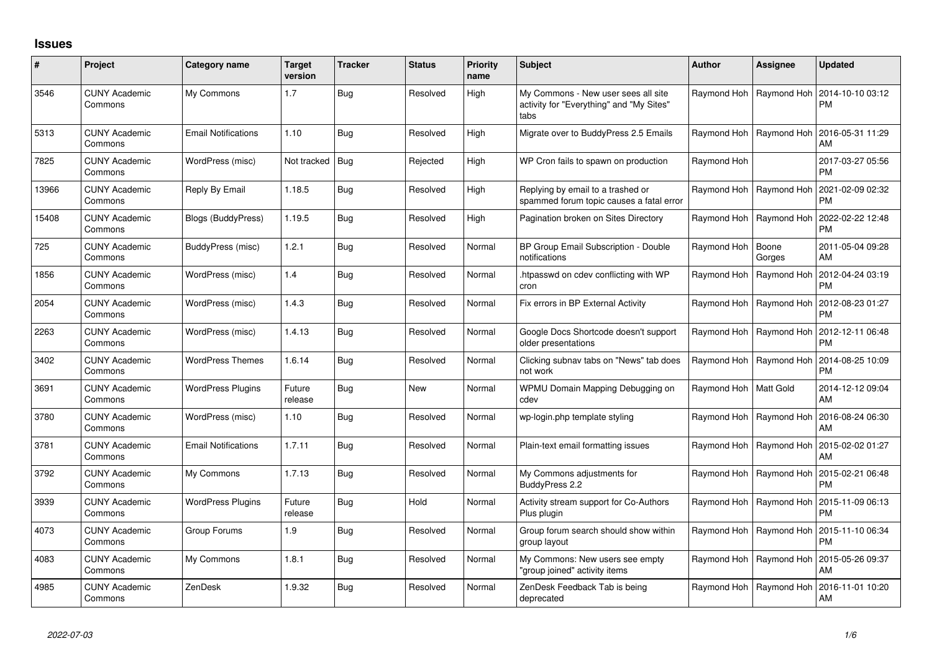## **Issues**

| #     | Project                         | Category name              | <b>Target</b><br>version | <b>Tracker</b> | <b>Status</b> | <b>Priority</b><br>name | <b>Subject</b>                                                                          | <b>Author</b> | <b>Assignee</b> | <b>Updated</b>                |
|-------|---------------------------------|----------------------------|--------------------------|----------------|---------------|-------------------------|-----------------------------------------------------------------------------------------|---------------|-----------------|-------------------------------|
| 3546  | <b>CUNY Academic</b><br>Commons | My Commons                 | 1.7                      | <b>Bug</b>     | Resolved      | High                    | My Commons - New user sees all site<br>activity for "Everything" and "My Sites"<br>tabs | Raymond Hoh   | Raymond Hoh     | 2014-10-10 03:12<br><b>PM</b> |
| 5313  | <b>CUNY Academic</b><br>Commons | <b>Email Notifications</b> | 1.10                     | <b>Bug</b>     | Resolved      | High                    | Migrate over to BuddyPress 2.5 Emails                                                   | Raymond Hoh   | Raymond Hoh     | 2016-05-31 11:29<br>AM        |
| 7825  | <b>CUNY Academic</b><br>Commons | WordPress (misc)           | Not tracked              | <b>Bug</b>     | Rejected      | High                    | WP Cron fails to spawn on production                                                    | Raymond Hoh   |                 | 2017-03-27 05:56<br>PM.       |
| 13966 | <b>CUNY Academic</b><br>Commons | Reply By Email             | 1.18.5                   | <b>Bug</b>     | Resolved      | High                    | Replying by email to a trashed or<br>spammed forum topic causes a fatal error           | Raymond Hoh   | Raymond Hoh     | 2021-02-09 02:32<br><b>PM</b> |
| 15408 | <b>CUNY Academic</b><br>Commons | Blogs (BuddyPress)         | 1.19.5                   | <b>Bug</b>     | Resolved      | High                    | Pagination broken on Sites Directory                                                    | Raymond Hoh   | Raymond Hoh     | 2022-02-22 12:48<br><b>PM</b> |
| 725   | <b>CUNY Academic</b><br>Commons | BuddyPress (misc)          | 1.2.1                    | <b>Bug</b>     | Resolved      | Normal                  | BP Group Email Subscription - Double<br>notifications                                   | Raymond Hoh   | Boone<br>Gorges | 2011-05-04 09:28<br>AM        |
| 1856  | <b>CUNY Academic</b><br>Commons | WordPress (misc)           | 1.4                      | <b>Bug</b>     | Resolved      | Normal                  | htpasswd on cdev conflicting with WP<br>cron                                            | Raymond Hoh   | Raymond Hoh     | 2012-04-24 03:19<br><b>PM</b> |
| 2054  | <b>CUNY Academic</b><br>Commons | WordPress (misc)           | 1.4.3                    | <b>Bug</b>     | Resolved      | Normal                  | Fix errors in BP External Activity                                                      | Raymond Hoh   | Raymond Hoh     | 2012-08-23 01:27<br><b>PM</b> |
| 2263  | <b>CUNY Academic</b><br>Commons | WordPress (misc)           | 1.4.13                   | Bug            | Resolved      | Normal                  | Google Docs Shortcode doesn't support<br>older presentations                            | Raymond Hoh   | Raymond Hoh     | 2012-12-11 06:48<br><b>PM</b> |
| 3402  | <b>CUNY Academic</b><br>Commons | <b>WordPress Themes</b>    | 1.6.14                   | <b>Bug</b>     | Resolved      | Normal                  | Clicking subnav tabs on "News" tab does<br>not work                                     | Raymond Hoh   | Raymond Hoh     | 2014-08-25 10:09<br><b>PM</b> |
| 3691  | <b>CUNY Academic</b><br>Commons | <b>WordPress Plugins</b>   | Future<br>release        | <b>Bug</b>     | New           | Normal                  | WPMU Domain Mapping Debugging on<br>cdev                                                | Raymond Hoh   | Matt Gold       | 2014-12-12 09:04<br>AM        |
| 3780  | <b>CUNY Academic</b><br>Commons | WordPress (misc)           | 1.10                     | <b>Bug</b>     | Resolved      | Normal                  | wp-login.php template styling                                                           | Raymond Hoh   | Raymond Hoh     | 2016-08-24 06:30<br>AM        |
| 3781  | <b>CUNY Academic</b><br>Commons | <b>Email Notifications</b> | 1.7.11                   | <b>Bug</b>     | Resolved      | Normal                  | Plain-text email formatting issues                                                      | Raymond Hoh   | Raymond Hoh     | 2015-02-02 01:27<br>AM        |
| 3792  | <b>CUNY Academic</b><br>Commons | My Commons                 | 1.7.13                   | <b>Bug</b>     | Resolved      | Normal                  | My Commons adjustments for<br>BuddyPress 2.2                                            | Raymond Hoh   | Raymond Hoh     | 2015-02-21 06:48<br><b>PM</b> |
| 3939  | <b>CUNY Academic</b><br>Commons | <b>WordPress Plugins</b>   | Future<br>release        | <b>Bug</b>     | Hold          | Normal                  | Activity stream support for Co-Authors<br>Plus plugin                                   | Raymond Hoh   | Raymond Hoh     | 2015-11-09 06:13<br>PM        |
| 4073  | <b>CUNY Academic</b><br>Commons | Group Forums               | 1.9                      | <b>Bug</b>     | Resolved      | Normal                  | Group forum search should show within<br>group layout                                   | Raymond Hoh   | Raymond Hoh     | 2015-11-10 06:34<br><b>PM</b> |
| 4083  | <b>CUNY Academic</b><br>Commons | My Commons                 | 1.8.1                    | <b>Bug</b>     | Resolved      | Normal                  | My Commons: New users see empty<br>group joined" activity items                         | Raymond Hoh   | Raymond Hoh     | 2015-05-26 09:37<br>AM        |
| 4985  | <b>CUNY Academic</b><br>Commons | ZenDesk                    | 1.9.32                   | <b>Bug</b>     | Resolved      | Normal                  | ZenDesk Feedback Tab is being<br>deprecated                                             | Raymond Hoh   | Raymond Hoh     | 2016-11-01 10:20<br>AM        |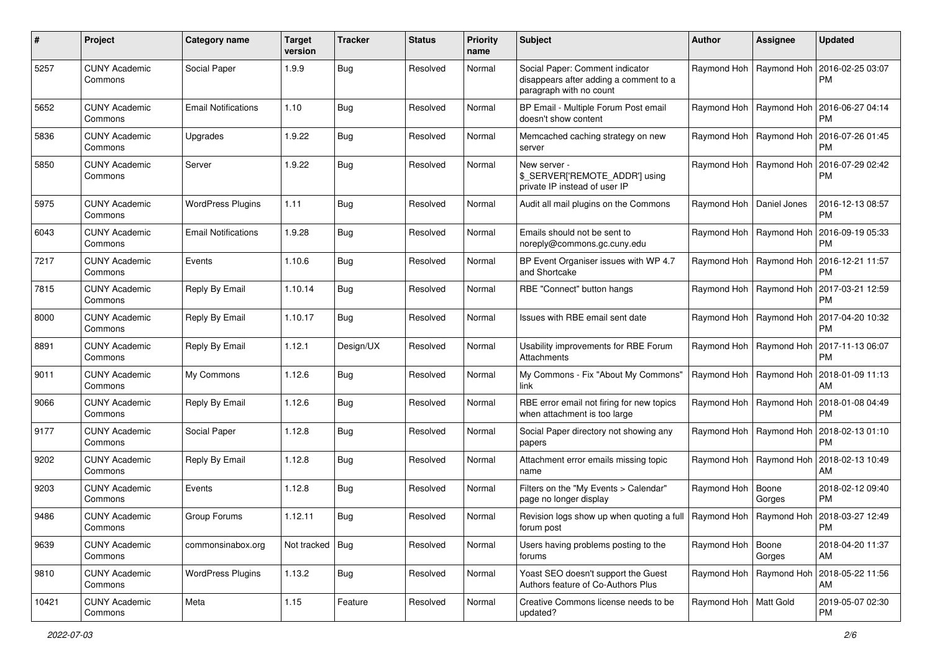| #     | Project                         | Category name              | <b>Target</b><br>version | <b>Tracker</b> | <b>Status</b> | <b>Priority</b><br>name | Subject                                                                                              | <b>Author</b>              | <b>Assignee</b>           | <b>Updated</b>                |
|-------|---------------------------------|----------------------------|--------------------------|----------------|---------------|-------------------------|------------------------------------------------------------------------------------------------------|----------------------------|---------------------------|-------------------------------|
| 5257  | <b>CUNY Academic</b><br>Commons | Social Paper               | 1.9.9                    | <b>Bug</b>     | Resolved      | Normal                  | Social Paper: Comment indicator<br>disappears after adding a comment to a<br>paragraph with no count |                            | Raymond Hoh   Raymond Hoh | 2016-02-25 03:07<br>РM        |
| 5652  | <b>CUNY Academic</b><br>Commons | <b>Email Notifications</b> | 1.10                     | <b>Bug</b>     | Resolved      | Normal                  | BP Email - Multiple Forum Post email<br>doesn't show content                                         |                            | Raymond Hoh   Raymond Hoh | 2016-06-27 04:14<br>PM        |
| 5836  | <b>CUNY Academic</b><br>Commons | Upgrades                   | 1.9.22                   | Bug            | Resolved      | Normal                  | Memcached caching strategy on new<br>server                                                          |                            | Raymond Hoh   Raymond Hoh | 2016-07-26 01:45<br><b>PM</b> |
| 5850  | <b>CUNY Academic</b><br>Commons | Server                     | 1.9.22                   | Bug            | Resolved      | Normal                  | New server -<br>\$_SERVER['REMOTE_ADDR'] using<br>private IP instead of user IP                      | Raymond Hoh   Raymond Hoh  |                           | 2016-07-29 02:42<br><b>PM</b> |
| 5975  | <b>CUNY Academic</b><br>Commons | <b>WordPress Plugins</b>   | 1.11                     | <b>Bug</b>     | Resolved      | Normal                  | Audit all mail plugins on the Commons                                                                | Raymond Hoh   Daniel Jones |                           | 2016-12-13 08:57<br><b>PM</b> |
| 6043  | <b>CUNY Academic</b><br>Commons | <b>Email Notifications</b> | 1.9.28                   | Bug            | Resolved      | Normal                  | Emails should not be sent to<br>noreply@commons.gc.cuny.edu                                          | Raymond Hoh   Raymond Hoh  |                           | 2016-09-19 05:33<br><b>PM</b> |
| 7217  | <b>CUNY Academic</b><br>Commons | Events                     | 1.10.6                   | <b>Bug</b>     | Resolved      | Normal                  | BP Event Organiser issues with WP 4.7<br>and Shortcake                                               |                            | Raymond Hoh   Raymond Hoh | 2016-12-21 11:57<br><b>PM</b> |
| 7815  | <b>CUNY Academic</b><br>Commons | Reply By Email             | 1.10.14                  | Bug            | Resolved      | Normal                  | RBE "Connect" button hangs                                                                           |                            | Raymond Hoh   Raymond Hoh | 2017-03-21 12:59<br><b>PM</b> |
| 8000  | <b>CUNY Academic</b><br>Commons | Reply By Email             | 1.10.17                  | Bug            | Resolved      | Normal                  | Issues with RBE email sent date                                                                      |                            | Raymond Hoh   Raymond Hoh | 2017-04-20 10:32<br>РM        |
| 8891  | <b>CUNY Academic</b><br>Commons | Reply By Email             | 1.12.1                   | Design/UX      | Resolved      | Normal                  | Usability improvements for RBE Forum<br>Attachments                                                  |                            | Raymond Hoh   Raymond Hoh | 2017-11-13 06:07<br>РM        |
| 9011  | <b>CUNY Academic</b><br>Commons | My Commons                 | 1.12.6                   | Bug            | Resolved      | Normal                  | My Commons - Fix "About My Commons"<br>link                                                          | Raymond Hoh   Raymond Hoh  |                           | 2018-01-09 11:13<br>AM        |
| 9066  | <b>CUNY Academic</b><br>Commons | Reply By Email             | 1.12.6                   | Bug            | Resolved      | Normal                  | RBE error email not firing for new topics<br>when attachment is too large                            | Raymond Hoh                | Raymond Hoh               | 2018-01-08 04:49<br><b>PM</b> |
| 9177  | <b>CUNY Academic</b><br>Commons | Social Paper               | 1.12.8                   | Bug            | Resolved      | Normal                  | Social Paper directory not showing any<br>papers                                                     | Raymond Hoh   Raymond Hoh  |                           | 2018-02-13 01:10<br>PM        |
| 9202  | <b>CUNY Academic</b><br>Commons | Reply By Email             | 1.12.8                   | <b>Bug</b>     | Resolved      | Normal                  | Attachment error emails missing topic<br>name                                                        |                            | Raymond Hoh   Raymond Hoh | 2018-02-13 10:49<br>AM        |
| 9203  | <b>CUNY Academic</b><br>Commons | Events                     | 1.12.8                   | <b>Bug</b>     | Resolved      | Normal                  | Filters on the "My Events > Calendar"<br>page no longer display                                      | Raymond Hoh                | Boone<br>Gorges           | 2018-02-12 09:40<br>РM        |
| 9486  | <b>CUNY Academic</b><br>Commons | Group Forums               | 1.12.11                  | <b>Bug</b>     | Resolved      | Normal                  | Revision logs show up when quoting a full   Raymond Hoh   Raymond Hoh<br>forum post                  |                            |                           | 2018-03-27 12:49<br>PM        |
| 9639  | <b>CUNY Academic</b><br>Commons | commonsinabox.org          | Not tracked   Bug        |                | Resolved      | Normal                  | Users having problems posting to the<br>forums                                                       | Raymond Hoh   Boone        | Gorges                    | 2018-04-20 11:37<br>AM        |
| 9810  | <b>CUNY Academic</b><br>Commons | <b>WordPress Plugins</b>   | 1.13.2                   | <b>Bug</b>     | Resolved      | Normal                  | Yoast SEO doesn't support the Guest<br>Authors feature of Co-Authors Plus                            |                            | Raymond Hoh   Raymond Hoh | 2018-05-22 11:56<br>AM        |
| 10421 | <b>CUNY Academic</b><br>Commons | Meta                       | 1.15                     | Feature        | Resolved      | Normal                  | Creative Commons license needs to be<br>updated?                                                     | Raymond Hoh   Matt Gold    |                           | 2019-05-07 02:30<br><b>PM</b> |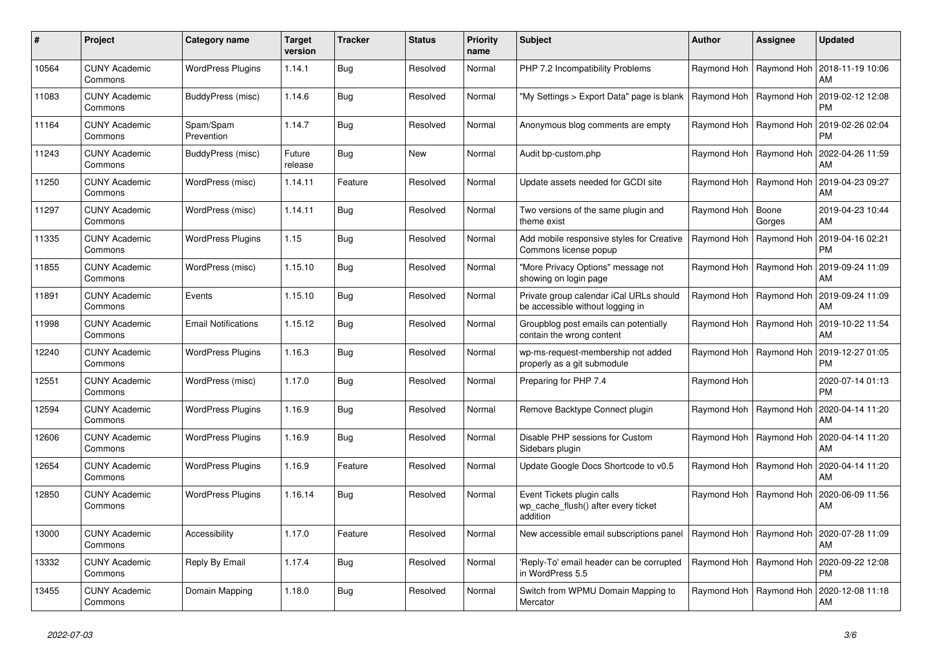| #     | Project                         | Category name              | <b>Target</b><br>version | <b>Tracker</b> | <b>Status</b> | <b>Priority</b><br>name | <b>Subject</b>                                                                | <b>Author</b> | Assignee                  | <b>Updated</b>                |
|-------|---------------------------------|----------------------------|--------------------------|----------------|---------------|-------------------------|-------------------------------------------------------------------------------|---------------|---------------------------|-------------------------------|
| 10564 | <b>CUNY Academic</b><br>Commons | <b>WordPress Plugins</b>   | 1.14.1                   | Bug            | Resolved      | Normal                  | PHP 7.2 Incompatibility Problems                                              | Raymond Hoh   | Raymond Hoh               | 2018-11-19 10:06<br>AM        |
| 11083 | CUNY Academic<br>Commons        | BuddyPress (misc)          | 1.14.6                   | <b>Bug</b>     | Resolved      | Normal                  | "My Settings > Export Data" page is blank                                     | Raymond Hoh   | Raymond Hoh               | 2019-02-12 12:08<br><b>PM</b> |
| 11164 | <b>CUNY Academic</b><br>Commons | Spam/Spam<br>Prevention    | 1.14.7                   | Bug            | Resolved      | Normal                  | Anonymous blog comments are empty                                             | Raymond Hoh   | Raymond Hoh               | 2019-02-26 02:04<br><b>PM</b> |
| 11243 | <b>CUNY Academic</b><br>Commons | BuddyPress (misc)          | Future<br>release        | <b>Bug</b>     | <b>New</b>    | Normal                  | Audit bp-custom.php                                                           | Raymond Hoh   | Raymond Hoh               | 2022-04-26 11:59<br>AM        |
| 11250 | <b>CUNY Academic</b><br>Commons | WordPress (misc)           | 1.14.11                  | Feature        | Resolved      | Normal                  | Update assets needed for GCDI site                                            | Raymond Hoh   | Raymond Hoh               | 2019-04-23 09:27<br>AM        |
| 11297 | <b>CUNY Academic</b><br>Commons | WordPress (misc)           | 1.14.11                  | Bug            | Resolved      | Normal                  | Two versions of the same plugin and<br>theme exist                            | Raymond Hoh   | Boone<br>Gorges           | 2019-04-23 10:44<br>AM        |
| 11335 | <b>CUNY Academic</b><br>Commons | <b>WordPress Plugins</b>   | 1.15                     | <b>Bug</b>     | Resolved      | Normal                  | Add mobile responsive styles for Creative<br>Commons license popup            | Raymond Hoh   | Raymond Hoh               | 2019-04-16 02:21<br><b>PM</b> |
| 11855 | <b>CUNY Academic</b><br>Commons | WordPress (misc)           | 1.15.10                  | <b>Bug</b>     | Resolved      | Normal                  | "More Privacy Options" message not<br>showing on login page                   | Raymond Hoh   | Raymond Hoh               | 2019-09-24 11:09<br>AM        |
| 11891 | <b>CUNY Academic</b><br>Commons | Events                     | 1.15.10                  | <b>Bug</b>     | Resolved      | Normal                  | Private group calendar iCal URLs should<br>be accessible without logging in   | Raymond Hoh   | Raymond Hoh               | 2019-09-24 11:09<br>AM        |
| 11998 | <b>CUNY Academic</b><br>Commons | <b>Email Notifications</b> | 1.15.12                  | Bug            | Resolved      | Normal                  | Groupblog post emails can potentially<br>contain the wrong content            | Raymond Hoh   | Raymond Hoh               | 2019-10-22 11:54<br>AM        |
| 12240 | <b>CUNY Academic</b><br>Commons | <b>WordPress Plugins</b>   | 1.16.3                   | <b>Bug</b>     | Resolved      | Normal                  | wp-ms-request-membership not added<br>properly as a git submodule             |               | Raymond Hoh   Raymond Hoh | 2019-12-27 01:05<br><b>PM</b> |
| 12551 | <b>CUNY Academic</b><br>Commons | WordPress (misc)           | 1.17.0                   | <b>Bug</b>     | Resolved      | Normal                  | Preparing for PHP 7.4                                                         | Raymond Hoh   |                           | 2020-07-14 01:13<br><b>PM</b> |
| 12594 | <b>CUNY Academic</b><br>Commons | <b>WordPress Plugins</b>   | 1.16.9                   | Bug            | Resolved      | Normal                  | Remove Backtype Connect plugin                                                | Raymond Hoh   | Raymond Hoh               | 2020-04-14 11:20<br>AM        |
| 12606 | <b>CUNY Academic</b><br>Commons | <b>WordPress Plugins</b>   | 1.16.9                   | Bug            | Resolved      | Normal                  | Disable PHP sessions for Custom<br>Sidebars plugin                            | Raymond Hoh   | Raymond Hoh               | 2020-04-14 11:20<br>AM        |
| 12654 | <b>CUNY Academic</b><br>Commons | <b>WordPress Plugins</b>   | 1.16.9                   | Feature        | Resolved      | Normal                  | Update Google Docs Shortcode to v0.5                                          | Raymond Hoh   | Raymond Hoh               | 2020-04-14 11:20<br>AM        |
| 12850 | <b>CUNY Academic</b><br>Commons | <b>WordPress Plugins</b>   | 1.16.14                  | Bug            | Resolved      | Normal                  | Event Tickets plugin calls<br>wp_cache_flush() after every ticket<br>addition | Raymond Hoh   | Raymond Hoh               | 2020-06-09 11:56<br>AM        |
| 13000 | <b>CUNY Academic</b><br>Commons | Accessibility              | 1.17.0                   | Feature        | Resolved      | Normal                  | New accessible email subscriptions panel                                      | Raymond Hoh   | Raymond Hoh               | 2020-07-28 11:09<br>AM        |
| 13332 | <b>CUNY Academic</b><br>Commons | Reply By Email             | 1.17.4                   | Bug            | Resolved      | Normal                  | 'Reply-To' email header can be corrupted<br>in WordPress 5.5                  | Raymond Hoh   | Raymond Hoh               | 2020-09-22 12:08<br><b>PM</b> |
| 13455 | CUNY Academic<br>Commons        | Domain Mapping             | 1.18.0                   | Bug            | Resolved      | Normal                  | Switch from WPMU Domain Mapping to<br>Mercator                                | Raymond Hoh   | Raymond Hoh               | 2020-12-08 11:18<br>AM        |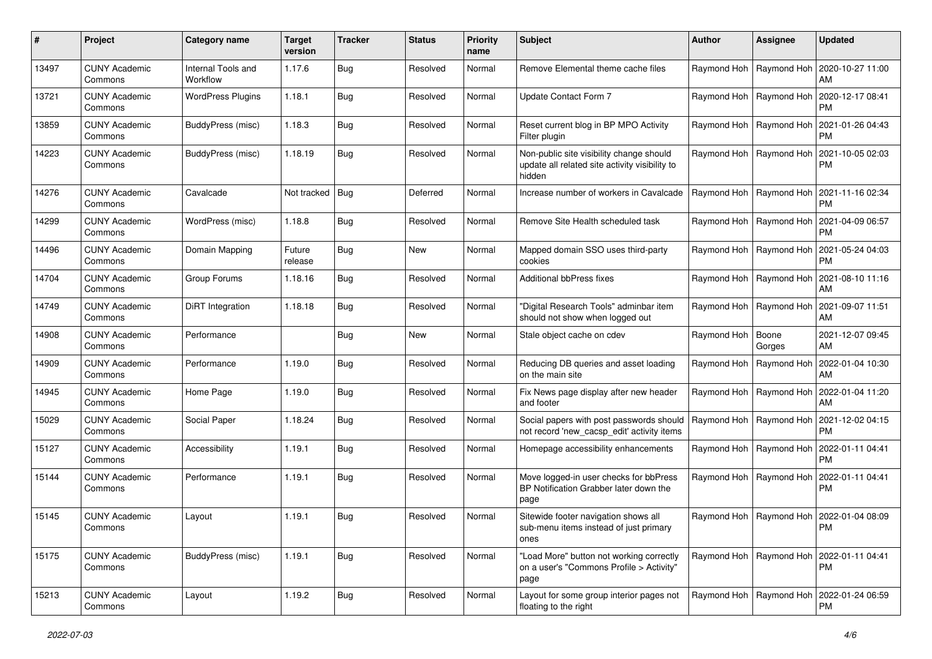| #     | Project                         | Category name                  | <b>Target</b><br>version | <b>Tracker</b> | <b>Status</b> | <b>Priority</b><br>name | Subject                                                                                              | Author      | Assignee                  | <b>Updated</b>                                            |
|-------|---------------------------------|--------------------------------|--------------------------|----------------|---------------|-------------------------|------------------------------------------------------------------------------------------------------|-------------|---------------------------|-----------------------------------------------------------|
| 13497 | <b>CUNY Academic</b><br>Commons | Internal Tools and<br>Workflow | 1.17.6                   | <b>Bug</b>     | Resolved      | Normal                  | Remove Elemental theme cache files                                                                   |             | Raymond Hoh   Raymond Hoh | 2020-10-27 11:00<br>AM                                    |
| 13721 | <b>CUNY Academic</b><br>Commons | <b>WordPress Plugins</b>       | 1.18.1                   | Bug            | Resolved      | Normal                  | Update Contact Form 7                                                                                |             | Raymond Hoh   Raymond Hoh | 2020-12-17 08:41<br><b>PM</b>                             |
| 13859 | CUNY Academic<br>Commons        | BuddyPress (misc)              | 1.18.3                   | Bug            | Resolved      | Normal                  | Reset current blog in BP MPO Activity<br>Filter plugin                                               | Raymond Hoh | Raymond Hoh               | 2021-01-26 04:43<br><b>PM</b>                             |
| 14223 | <b>CUNY Academic</b><br>Commons | BuddyPress (misc)              | 1.18.19                  | <b>Bug</b>     | Resolved      | Normal                  | Non-public site visibility change should<br>update all related site activity visibility to<br>hidden | Raymond Hoh | Raymond Hoh               | 2021-10-05 02:03<br>PM                                    |
| 14276 | <b>CUNY Academic</b><br>Commons | Cavalcade                      | Not tracked   Bug        |                | Deferred      | Normal                  | Increase number of workers in Cavalcade                                                              | Raymond Hoh | Raymond Hoh               | 2021-11-16 02:34<br><b>PM</b>                             |
| 14299 | <b>CUNY Academic</b><br>Commons | WordPress (misc)               | 1.18.8                   | <b>Bug</b>     | Resolved      | Normal                  | Remove Site Health scheduled task                                                                    |             | Raymond Hoh   Raymond Hoh | 2021-04-09 06:57<br><b>PM</b>                             |
| 14496 | <b>CUNY Academic</b><br>Commons | Domain Mapping                 | Future<br>release        | <b>Bug</b>     | New           | Normal                  | Mapped domain SSO uses third-party<br>cookies                                                        |             | Raymond Hoh   Raymond Hoh | 2021-05-24 04:03<br><b>PM</b>                             |
| 14704 | <b>CUNY Academic</b><br>Commons | Group Forums                   | 1.18.16                  | <b>Bug</b>     | Resolved      | Normal                  | Additional bbPress fixes                                                                             | Raymond Hoh | Raymond Hoh               | 2021-08-10 11:16<br>AM                                    |
| 14749 | <b>CUNY Academic</b><br>Commons | DiRT Integration               | 1.18.18                  | <b>Bug</b>     | Resolved      | Normal                  | 'Digital Research Tools" adminbar item<br>should not show when logged out                            |             | Raymond Hoh   Raymond Hoh | 2021-09-07 11:51<br>AM                                    |
| 14908 | <b>CUNY Academic</b><br>Commons | Performance                    |                          | <b>Bug</b>     | New           | Normal                  | Stale object cache on cdev                                                                           | Raymond Hoh | Boone<br>Gorges           | 2021-12-07 09:45<br>AM                                    |
| 14909 | <b>CUNY Academic</b><br>Commons | Performance                    | 1.19.0                   | <b>Bug</b>     | Resolved      | Normal                  | Reducing DB queries and asset loading<br>on the main site                                            | Raymond Hoh | Raymond Hoh               | 2022-01-04 10:30<br>AM                                    |
| 14945 | <b>CUNY Academic</b><br>Commons | Home Page                      | 1.19.0                   | <b>Bug</b>     | Resolved      | Normal                  | Fix News page display after new header<br>and footer                                                 | Raymond Hoh | Raymond Hoh               | 2022-01-04 11:20<br>AM                                    |
| 15029 | <b>CUNY Academic</b><br>Commons | Social Paper                   | 1.18.24                  | <b>Bug</b>     | Resolved      | Normal                  | Social papers with post passwords should<br>not record 'new_cacsp_edit' activity items               |             | Raymond Hoh   Raymond Hoh | 2021-12-02 04:15<br><b>PM</b>                             |
| 15127 | <b>CUNY Academic</b><br>Commons | Accessibility                  | 1.19.1                   | Bug            | Resolved      | Normal                  | Homepage accessibility enhancements                                                                  |             | Raymond Hoh   Raymond Hoh | 2022-01-11 04:41<br><b>PM</b>                             |
| 15144 | <b>CUNY Academic</b><br>Commons | Performance                    | 1.19.1                   | <b>Bug</b>     | Resolved      | Normal                  | Move logged-in user checks for bbPress<br>BP Notification Grabber later down the<br>page             |             | Raymond Hoh   Raymond Hoh | 2022-01-11 04:41<br><b>PM</b>                             |
| 15145 | CUNY Academic<br>Commons        | Layout                         | 1.19.1                   | Bug            | Resolved      | Normal                  | Sitewide footer navigation shows all<br>sub-menu items instead of just primary<br>ones               |             |                           | Raymond Hoh   Raymond Hoh   2022-01-04 08:09<br>PM        |
| 15175 | <b>CUNY Academic</b><br>Commons | BuddyPress (misc)              | 1.19.1                   | Bug            | Resolved      | Normal                  | "Load More" button not working correctly<br>on a user's "Commons Profile > Activity"<br>page         |             |                           | Raymond Hoh   Raymond Hoh   2022-01-11 04:41<br><b>PM</b> |
| 15213 | <b>CUNY Academic</b><br>Commons | Layout                         | 1.19.2                   | Bug            | Resolved      | Normal                  | Layout for some group interior pages not<br>floating to the right                                    |             |                           | Raymond Hoh   Raymond Hoh   2022-01-24 06:59<br><b>PM</b> |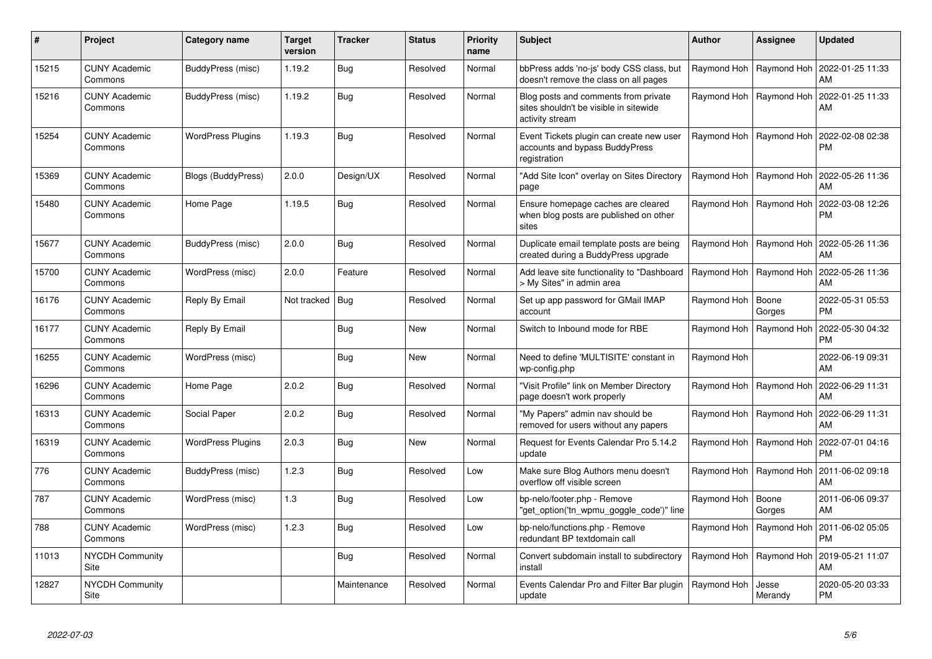| #     | Project                         | Category name            | <b>Target</b><br>version | <b>Tracker</b> | <b>Status</b> | <b>Priority</b><br>name | <b>Subject</b>                                                                                    | <b>Author</b>             | Assignee                  | <b>Updated</b>                |
|-------|---------------------------------|--------------------------|--------------------------|----------------|---------------|-------------------------|---------------------------------------------------------------------------------------------------|---------------------------|---------------------------|-------------------------------|
| 15215 | <b>CUNY Academic</b><br>Commons | BuddyPress (misc)        | 1.19.2                   | <b>Bug</b>     | Resolved      | Normal                  | bbPress adds 'no-js' body CSS class, but<br>doesn't remove the class on all pages                 |                           | Raymond Hoh   Raymond Hoh | 2022-01-25 11:33<br>AM        |
| 15216 | <b>CUNY Academic</b><br>Commons | BuddyPress (misc)        | 1.19.2                   | Bug            | Resolved      | Normal                  | Blog posts and comments from private<br>sites shouldn't be visible in sitewide<br>activity stream |                           | Raymond Hoh   Raymond Hoh | 2022-01-25 11:33<br>AM        |
| 15254 | <b>CUNY Academic</b><br>Commons | <b>WordPress Plugins</b> | 1.19.3                   | Bug            | Resolved      | Normal                  | Event Tickets plugin can create new user<br>accounts and bypass BuddyPress<br>registration        |                           | Raymond Hoh   Raymond Hoh | 2022-02-08 02:38<br><b>PM</b> |
| 15369 | <b>CUNY Academic</b><br>Commons | Blogs (BuddyPress)       | 2.0.0                    | Design/UX      | Resolved      | Normal                  | "Add Site Icon" overlay on Sites Directory<br>page                                                |                           | Raymond Hoh   Raymond Hoh | 2022-05-26 11:36<br>AM        |
| 15480 | <b>CUNY Academic</b><br>Commons | Home Page                | 1.19.5                   | <b>Bug</b>     | Resolved      | Normal                  | Ensure homepage caches are cleared<br>when blog posts are published on other<br>sites             | Raymond Hoh   Raymond Hoh |                           | 2022-03-08 12:26<br><b>PM</b> |
| 15677 | <b>CUNY Academic</b><br>Commons | BuddyPress (misc)        | 2.0.0                    | <b>Bug</b>     | Resolved      | Normal                  | Duplicate email template posts are being<br>created during a BuddyPress upgrade                   |                           | Raymond Hoh   Raymond Hoh | 2022-05-26 11:36<br>AM        |
| 15700 | <b>CUNY Academic</b><br>Commons | WordPress (misc)         | 2.0.0                    | Feature        | Resolved      | Normal                  | Add leave site functionality to "Dashboard<br>> My Sites" in admin area                           | Raymond Hoh   Raymond Hoh |                           | 2022-05-26 11:36<br>AM        |
| 16176 | <b>CUNY Academic</b><br>Commons | Reply By Email           | Not tracked              | Bug            | Resolved      | Normal                  | Set up app password for GMail IMAP<br>account                                                     | Raymond Hoh               | Boone<br>Gorges           | 2022-05-31 05:53<br><b>PM</b> |
| 16177 | <b>CUNY Academic</b><br>Commons | Reply By Email           |                          | <b>Bug</b>     | <b>New</b>    | Normal                  | Switch to Inbound mode for RBE                                                                    |                           | Raymond Hoh   Raymond Hoh | 2022-05-30 04:32<br><b>PM</b> |
| 16255 | <b>CUNY Academic</b><br>Commons | WordPress (misc)         |                          | Bug            | <b>New</b>    | Normal                  | Need to define 'MULTISITE' constant in<br>wp-config.php                                           | Raymond Hoh               |                           | 2022-06-19 09:31<br>AM        |
| 16296 | <b>CUNY Academic</b><br>Commons | Home Page                | 2.0.2                    | Bug            | Resolved      | Normal                  | 'Visit Profile" link on Member Directory<br>page doesn't work properly                            | Raymond Hoh               | Raymond Hoh               | 2022-06-29 11:31<br>AM        |
| 16313 | <b>CUNY Academic</b><br>Commons | Social Paper             | 2.0.2                    | Bug            | Resolved      | Normal                  | "My Papers" admin nav should be<br>removed for users without any papers                           |                           | Raymond Hoh   Raymond Hoh | 2022-06-29 11:31<br>AM        |
| 16319 | <b>CUNY Academic</b><br>Commons | <b>WordPress Plugins</b> | 2.0.3                    | Bug            | <b>New</b>    | Normal                  | Request for Events Calendar Pro 5.14.2<br>update                                                  |                           | Raymond Hoh   Raymond Hoh | 2022-07-01 04:16<br><b>PM</b> |
| 776   | <b>CUNY Academic</b><br>Commons | BuddyPress (misc)        | 1.2.3                    | Bug            | Resolved      | Low                     | Make sure Blog Authors menu doesn't<br>overflow off visible screen                                | Raymond Hoh   Raymond Hoh |                           | 2011-06-02 09:18<br>AM        |
| 787   | <b>CUNY Academic</b><br>Commons | WordPress (misc)         | 1.3                      | Bug            | Resolved      | Low                     | bp-nelo/footer.php - Remove<br>'get_option('tn_wpmu_goggle_code')" line                           | Raymond Hoh               | Boone<br>Gorges           | 2011-06-06 09:37<br>AM        |
| 788   | <b>CUNY Academic</b><br>Commons | WordPress (misc)         | 1.2.3                    | <b>Bug</b>     | Resolved      | Low                     | bp-nelo/functions.php - Remove<br>redundant BP textdomain call                                    | Raymond Hoh   Raymond Hoh |                           | 2011-06-02 05:05<br><b>PM</b> |
| 11013 | <b>NYCDH Community</b><br>Site  |                          |                          | <b>Bug</b>     | Resolved      | Normal                  | Convert subdomain install to subdirectory<br>install                                              | Raymond Hoh   Raymond Hoh |                           | 2019-05-21 11:07<br>AM        |
| 12827 | <b>NYCDH Community</b><br>Site  |                          |                          | Maintenance    | Resolved      | Normal                  | Events Calendar Pro and Filter Bar plugin<br>update                                               | Raymond Hoh               | Jesse<br>Merandy          | 2020-05-20 03:33<br>PM        |